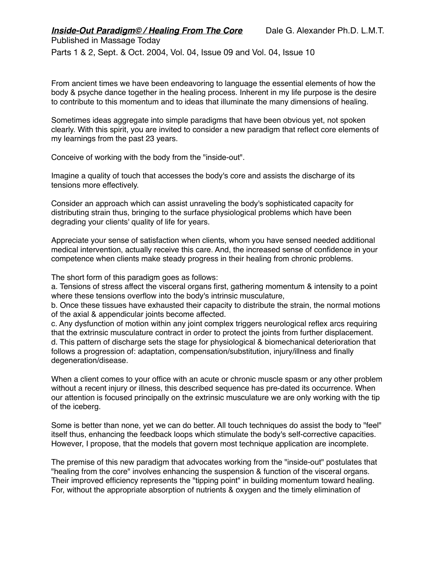Parts 1 & 2, Sept. & Oct. 2004, Vol. 04, Issue 09 and Vol. 04, Issue 10

From ancient times we have been endeavoring to language the essential elements of how the body & psyche dance together in the healing process. Inherent in my life purpose is the desire to contribute to this momentum and to ideas that illuminate the many dimensions of healing.

Sometimes ideas aggregate into simple paradigms that have been obvious yet, not spoken clearly. With this spirit, you are invited to consider a new paradigm that reflect core elements of my learnings from the past 23 years.

Conceive of working with the body from the "inside-out".

Imagine a quality of touch that accesses the body's core and assists the discharge of its tensions more effectively.

Consider an approach which can assist unraveling the body's sophisticated capacity for distributing strain thus, bringing to the surface physiological problems which have been degrading your clients' quality of life for years.

Appreciate your sense of satisfaction when clients, whom you have sensed needed additional medical intervention, actually receive this care. And, the increased sense of confidence in your competence when clients make steady progress in their healing from chronic problems.

The short form of this paradigm goes as follows:

a. Tensions of stress affect the visceral organs first, gathering momentum & intensity to a point where these tensions overflow into the body's intrinsic musculature,

b. Once these tissues have exhausted their capacity to distribute the strain, the normal motions of the axial & appendicular joints become affected.

c. Any dysfunction of motion within any joint complex triggers neurological reflex arcs requiring that the extrinsic musculature contract in order to protect the joints from further displacement. d. This pattern of discharge sets the stage for physiological & biomechanical deterioration that follows a progression of: adaptation, compensation/substitution, injury/illness and finally degeneration/disease.

When a client comes to your office with an acute or chronic muscle spasm or any other problem without a recent injury or illness, this described sequence has pre-dated its occurrence. When our attention is focused principally on the extrinsic musculature we are only working with the tip of the iceberg.

Some is better than none, yet we can do better. All touch techniques do assist the body to "feel" itself thus, enhancing the feedback loops which stimulate the body's self-corrective capacities. However, I propose, that the models that govern most technique application are incomplete.

The premise of this new paradigm that advocates working from the "inside-out" postulates that "healing from the core" involves enhancing the suspension & function of the visceral organs. Their improved efficiency represents the "tipping point" in building momentum toward healing. For, without the appropriate absorption of nutrients & oxygen and the timely elimination of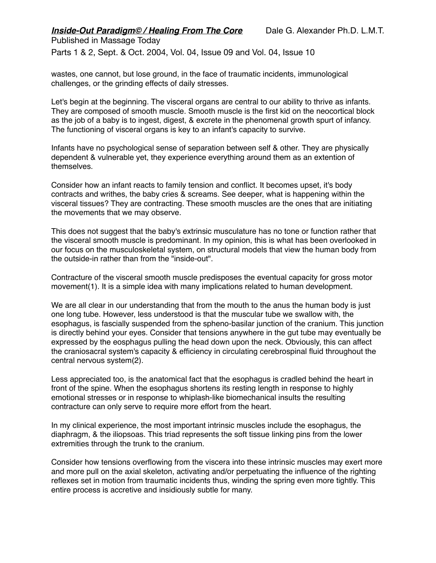Published in Massage Today Parts 1 & 2, Sept. & Oct. 2004, Vol. 04, Issue 09 and Vol. 04, Issue 10

wastes, one cannot, but lose ground, in the face of traumatic incidents, immunological challenges, or the grinding effects of daily stresses.

Let's begin at the beginning. The visceral organs are central to our ability to thrive as infants. They are composed of smooth muscle. Smooth muscle is the first kid on the neocortical block as the job of a baby is to ingest, digest, & excrete in the phenomenal growth spurt of infancy. The functioning of visceral organs is key to an infant's capacity to survive.

Infants have no psychological sense of separation between self & other. They are physically dependent & vulnerable yet, they experience everything around them as an extention of themselves.

Consider how an infant reacts to family tension and conflict. It becomes upset, it's body contracts and writhes, the baby cries & screams. See deeper, what is happening within the visceral tissues? They are contracting. These smooth muscles are the ones that are initiating the movements that we may observe.

This does not suggest that the baby's extrinsic musculature has no tone or function rather that the visceral smooth muscle is predominant. In my opinion, this is what has been overlooked in our focus on the musculoskeletal system, on structural models that view the human body from the outside-in rather than from the "inside-out".

Contracture of the visceral smooth muscle predisposes the eventual capacity for gross motor movement(1). It is a simple idea with many implications related to human development.

We are all clear in our understanding that from the mouth to the anus the human body is just one long tube. However, less understood is that the muscular tube we swallow with, the esophagus, is fascially suspended from the spheno-basilar junction of the cranium. This junction is directly behind your eyes. Consider that tensions anywhere in the gut tube may eventually be expressed by the eosphagus pulling the head down upon the neck. Obviously, this can affect the craniosacral system's capacity & efficiency in circulating cerebrospinal fluid throughout the central nervous system(2).

Less appreciated too, is the anatomical fact that the esophagus is cradled behind the heart in front of the spine. When the esophagus shortens its resting length in response to highly emotional stresses or in response to whiplash-like biomechanical insults the resulting contracture can only serve to require more effort from the heart.

In my clinical experience, the most important intrinsic muscles include the esophagus, the diaphragm, & the iliopsoas. This triad represents the soft tissue linking pins from the lower extremities through the trunk to the cranium.

Consider how tensions overflowing from the viscera into these intrinsic muscles may exert more and more pull on the axial skeleton, activating and/or perpetuating the influence of the righting reflexes set in motion from traumatic incidents thus, winding the spring even more tightly. This entire process is accretive and insidiously subtle for many.